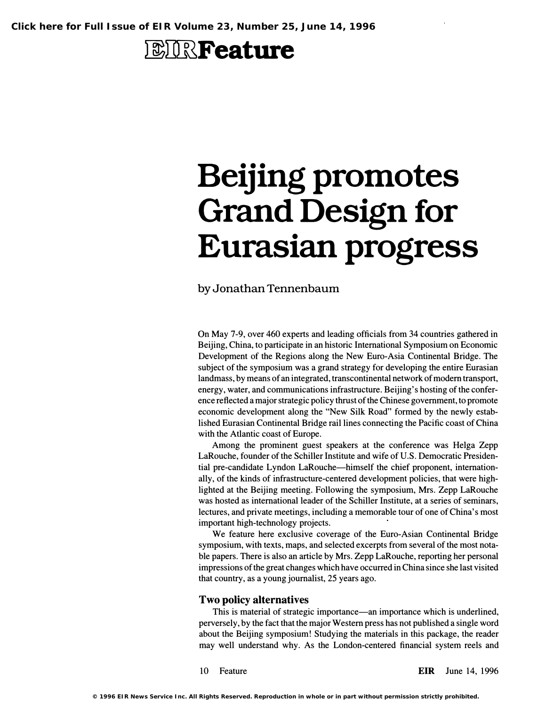## **EIRFeature**

# Beijing promotes Grand Design for Eurasian progress

### by Jonathan Tennenbaum

On May 7-9, over 460 experts and leading officials from 34 countries gathered in Beijing, China, to participate in an historic International Symposium on Economic Development of the Regions along the New Euro-Asia Continental Bridge. The subject of the symposium was a grand strategy for developing the entire Eurasian landmass, by means of an integrated, transcontinental network of modem transport, energy, water, and communications infrastructure. Beijing's hosting of the conference reflected a major strategic policy thrust of the Chinese government, to promote economic development along the "New Silk Road" formed by the newly established Eurasian Continental Bridge rail lines connecting the Pacific coast of China with the Atlantic coast of Europe.

Among the prominent guest speakers at the conference was Helga Zepp LaRouche, founder of the Schiller Institute and wife of U.S. Democratic Presidential pre-candidate Lyndon LaRouche-himself the chief proponent, internationally, of the kinds of infrastructure-centered development policies, that were highlighted at the Beijing meeting. Following the symposium, Mrs. Zepp LaRouche was hosted as international leader of the Schiller Institute, at a series of seminars, lectures, and private meetings, including a memorable tour of one of China's most important high-technology projects.

We feature here exclusive coverage of the Euro-Asian Continental Bridge symposium, with texts, maps, and selected excerpts from several of the most notable papers. There is also an article by Mrs. Zepp LaRouche, reporting her personal impressions of the great changes which have occurred in China since she last visited that country, as a young journalist, 25 years ago.

#### Two policy alternatives

This is material of strategic importance—an importance which is underlined, perversely, by the fact that the major Western press has not published a single word about the Beijing symposium! Studying the materials in this package, the reader may well understand why. As the London-centered financial system reels and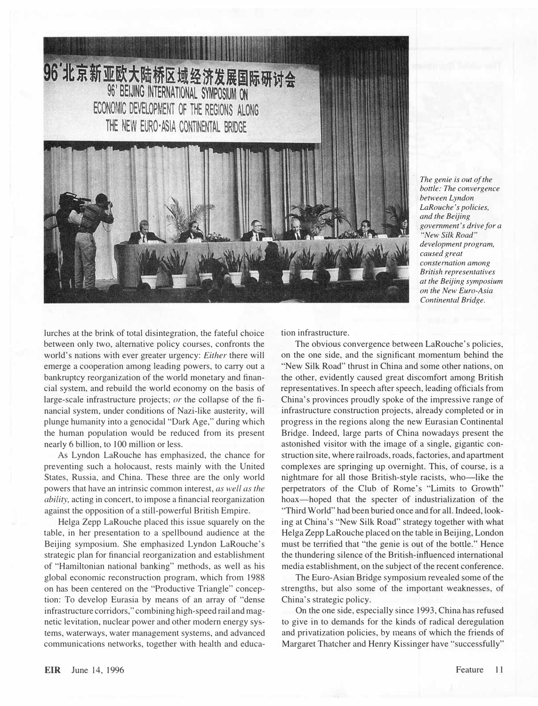

The genie is out of the bottle: The convergence between Lyndon LaRouche's policies, and the Beijing government's drive for a "New Silk Road" development program, caused great consternation among British representatives at the Beijing symposium on the New Euro-Asia Continental Bridge.

lurches at the brink of total disintegration, the fateful choice between only two, alternative policy courses, confronts the world's nations with ever greater urgency: Either there will emerge a cooperation among leading powers, to carry out a bankruptcy reorganization of the world monetary and financial system, and rebuild the world economy on the basis of large-scale infrastructure projects; or the collapse of the financial system, under conditions of Nazi-like austerity, will plunge humanity into a genocidal "Dark Age," during which the human population would be reduced from its present nearly 6 billion, to 100 million or less.

As Lyndon LaRouche has emphasized, the chance for preventing such a holocaust, rests mainly with the United States, Russia, and China. These three are the only world powers that have an intrinsic common interest, as well as the ability, acting in concert, to impose a financial reorganization against the opposition of a still-powerful British Empire.

Helga Zepp LaRouche placed this issue squarely on the table, in her presentation to a spellbound audience at the Beijing symposium. She emphasized Lyndon LaRouche's strategic plan for financial reorganization and establishment of "Hamiltonian national banking" methods, as well as his global economic reconstruction program, which from 1988 on has been centered on the "Productive Triangle" conception: To develop Eurasia by means of an array of "dense infrastructure corridors," combining high-speed rail and magnetic levitation, nuclear power and other modern energy systems, waterways, water management systems, and advanced communications networks, together with health and education infrastructure.

The obvious convergence between LaRouche's policies, on the one side, and the significant momentum behind the "New Silk Road" thrust in China and some other nations, on the other, evidently caused great discomfort among British representatives. In speech after speech, leading officials from China's provinces proudly spoke of the impressive range of infrastructure construction projects, already completed or in progress in the regions along the new Eurasian Continental Bridge. Indeed, large parts of China nowadays present the astonished visitor with the image of a single, gigantic construction site, where railroads, roads, factories, and apartment complexes are springing up overnight. This, of course, is a nightmare for all those British-style racists, who—like the perpetrators of the Club of Rome's "Limits to Growth" hoax-hoped that the specter of industrialization of the "Third World" had been buried once and for all. Indeed, looking at China's "New Silk Road" strategy together with what Helga Zepp LaRouche placed on the table in Beijing, London must be terrified that "the genie is out of the bottle." Hence the thundering silence of the British-influenced international media establishment, on the subject of the recent conference.

The Euro-Asian Bridge symposium revealed some of the strengths, but also some of the important weaknesses, of China's strategic policy.

On the one side, especially since 1993, China has refused to give in to demands for the kinds of radical deregulation and privatization policies, by means of which the friends of Margaret Thatcher and Henry Kissinger have "successfully"